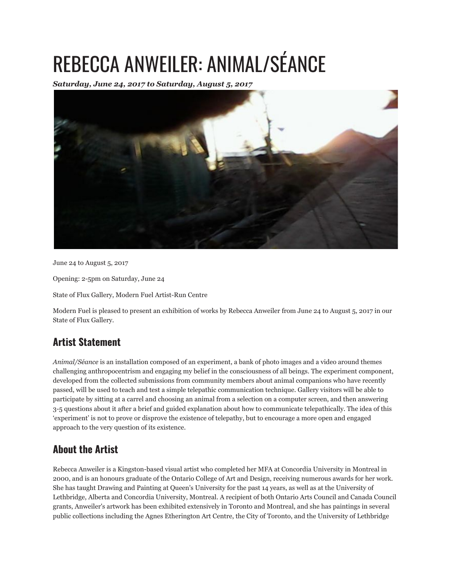## REBECCA ANWEILER: ANIMAL/SÉANCE

*Saturday, June 24, 2017 to Saturday, August 5, 2017*



June 24 to August 5, 2017

Opening: 2-5pm on Saturday, June 24

State of Flux Gallery, Modern Fuel Artist-Run Centre

Modern Fuel is pleased to present an exhibition of works by Rebecca Anweiler from June 24 to August 5, 2017 in our State of Flux Gallery.

## **Artist Statement**

*Animal/Séance* is an installation composed of an experiment, a bank of photo images and a video around themes challenging anthropocentrism and engaging my belief in the consciousness of all beings. The experiment component, developed from the collected submissions from community members about animal companions who have recently passed, will be used to teach and test a simple telepathic communication technique. Gallery visitors will be able to participate by sitting at a carrel and choosing an animal from a selection on a computer screen, and then answering 3-5 questions about it after a brief and guided explanation about how to communicate telepathically. The idea of this 'experiment' is not to prove or disprove the existence of telepathy, but to encourage a more open and engaged approach to the very question of its existence.

## **About the Artist**

Rebecca Anweiler is a Kingston-based visual artist who completed her MFA at Concordia University in Montreal in 2000, and is an honours graduate of the Ontario College of Art and Design, receiving numerous awards for her work. She has taught Drawing and Painting at Queen's University for the past 14 years, as well as at the University of Lethbridge, Alberta and Concordia University, Montreal. A recipient of both Ontario Arts Council and Canada Council grants, Anweiler's artwork has been exhibited extensively in Toronto and Montreal, and she has paintings in several public collections including the Agnes Etherington Art Centre, the City of Toronto, and the University of Lethbridge